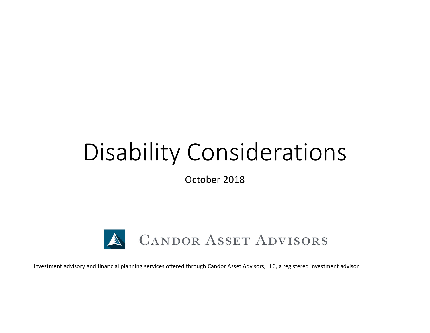# Disability Considerations

October 2018



Investment advisory and financial planning services offered through Candor Asset Advisors, LLC, a registered investment advisor.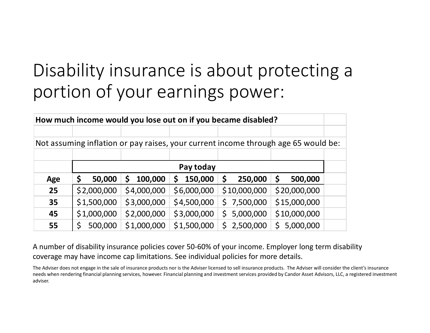## Disability insurance is about protecting a portion of your earnings power:

| How much income would you lose out on if you became disabled?                      |             |              |              |               |                 |  |  |  |  |  |
|------------------------------------------------------------------------------------|-------------|--------------|--------------|---------------|-----------------|--|--|--|--|--|
|                                                                                    |             |              |              |               |                 |  |  |  |  |  |
| Not assuming inflation or pay raises, your current income through age 65 would be: |             |              |              |               |                 |  |  |  |  |  |
|                                                                                    |             |              |              |               |                 |  |  |  |  |  |
|                                                                                    | Pay today   |              |              |               |                 |  |  |  |  |  |
| Age                                                                                | 50,000      | 100,000<br>S | 150,000<br>S | 250,000<br>\$ | \$<br>500,000   |  |  |  |  |  |
| 25                                                                                 | \$2,000,000 | \$4,000,000  | \$6,000,000  | \$10,000,000  | \$20,000,000    |  |  |  |  |  |
| 35                                                                                 | \$1,500,000 | \$3,000,000  | \$4,500,000  | \$7,500,000   | \$15,000,000    |  |  |  |  |  |
| 45                                                                                 | \$1,000,000 | \$2,000,000  | \$3,000,000  | \$5,000,000   | \$10,000,000    |  |  |  |  |  |
| 55                                                                                 | 500,000     | \$1,000,000  | \$1,500,000  | \$2,500,000   | Ś.<br>5,000,000 |  |  |  |  |  |

A number of disability insurance policies cover 50-60% of your income. Employer long term disability coverage may have income cap limitations. See individual policies for more details.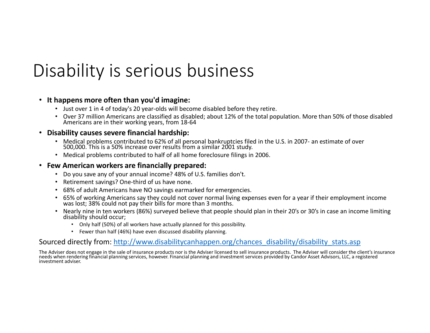## Disability is serious business

### • **It happens more often than you'd imagine:**

- Just over 1 in 4 of today's 20 year-olds will become disabled before they retire.
- Over 37 million Americans are classified as disabled; about 12% of the total population. More than 50% of those disabled Americans are in their working years, from 18-64

#### • **Disability causes severe financial hardship:**

- Medical problems contributed to 62% of all personal bankruptcies filed in the U.S. in 2007- an estimate of over 500,000. This is a 50% increase over results from a similar 2001 study.
- Medical problems contributed to half of all home foreclosure filings in 2006.

### • **Few American workers are financially prepared:**

- Do you save any of your annual income? 48% of U.S. families don't.
- Retirement savings? One-third of us have none.
- 68% of adult Americans have NO savings earmarked for emergencies.
- 65% of working Americans say they could not cover normal living expenses even for a year if their employment income was lost; 38% could not pay their bills for more than 3 months.
- Nearly nine in ten workers (86%) surveyed believe that people should plan in their 20's or 30's in case an income limiting disability should occur;
	- Only half (50%) of all workers have actually planned for this possibility.
	- Fewer than half (46%) have even discussed disability planning.

### Sourced directly from: http://www.disabilitycanhappen.org/chances\_disability/disability\_stats.asp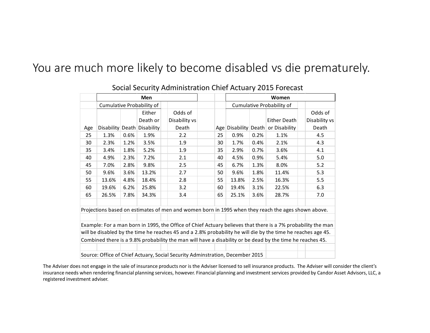## You are much more likely to become disabled vs die prematurely.

|                                                                                                              | <b>Men</b>                                                                                         |      |                             |  |               | Women                     |    |       |      |                                          |  |               |
|--------------------------------------------------------------------------------------------------------------|----------------------------------------------------------------------------------------------------|------|-----------------------------|--|---------------|---------------------------|----|-------|------|------------------------------------------|--|---------------|
|                                                                                                              | Cumulative Probability of                                                                          |      |                             |  |               | Cumulative Probability of |    |       |      |                                          |  |               |
|                                                                                                              |                                                                                                    |      | Either                      |  | Odds of       |                           |    |       |      |                                          |  | Odds of       |
|                                                                                                              |                                                                                                    |      | Death or                    |  | Disability vs |                           |    |       |      | <b>Either Death</b>                      |  | Disability vs |
| Age                                                                                                          |                                                                                                    |      | Disability Death Disability |  | Death         |                           |    |       |      | Age   Disability   Death   or Disability |  | Death         |
| 25                                                                                                           | 1.3%                                                                                               | 0.6% | 1.9%                        |  | 2.2           |                           | 25 | 0.9%  | 0.2% | 1.1%                                     |  | 4.5           |
| 30                                                                                                           | 2.3%                                                                                               | 1.2% | 3.5%                        |  | 1.9           |                           | 30 | 1.7%  | 0.4% | 2.1%                                     |  | 4.3           |
| 35                                                                                                           | 3.4%                                                                                               | 1.8% | 5.2%                        |  | 1.9           |                           | 35 | 2.9%  | 0.7% | 3.6%                                     |  | 4.1           |
| 40                                                                                                           | 4.9%                                                                                               | 2.3% | 7.2%                        |  | 2.1           |                           | 40 | 4.5%  | 0.9% | 5.4%                                     |  | 5.0           |
| 45                                                                                                           | 7.0%                                                                                               | 2.8% | 9.8%                        |  | 2.5           |                           | 45 | 6.7%  | 1.3% | 8.0%                                     |  | 5.2           |
| 50                                                                                                           | 9.6%                                                                                               | 3.6% | 13.2%                       |  | 2.7           |                           | 50 | 9.6%  | 1.8% | 11.4%                                    |  | 5.3           |
| 55                                                                                                           | 13.6%                                                                                              | 4.8% | 18.4%                       |  | 2.8           |                           | 55 | 13.8% | 2.5% | 16.3%                                    |  | 5.5           |
| 60                                                                                                           | 19.6%                                                                                              | 6.2% | 25.8%                       |  | 3.2           |                           | 60 | 19.4% | 3.1% | 22.5%                                    |  | 6.3           |
| 65                                                                                                           | 26.5%                                                                                              | 7.8% | 34.3%                       |  | 3.4           |                           | 65 | 25.1% | 3.6% | 28.7%                                    |  | 7.0           |
|                                                                                                              |                                                                                                    |      |                             |  |               |                           |    |       |      |                                          |  |               |
|                                                                                                              | Projections based on estimates of men and women born in 1995 when they reach the ages shown above. |      |                             |  |               |                           |    |       |      |                                          |  |               |
|                                                                                                              |                                                                                                    |      |                             |  |               |                           |    |       |      |                                          |  |               |
| Example: For a man born in 1995, the Office of Chief Actuary believes that there is a 7% probability the man |                                                                                                    |      |                             |  |               |                           |    |       |      |                                          |  |               |
| will be disabled by the time he reaches 45 and a 2.8% probability he will die by the time he reaches age 45. |                                                                                                    |      |                             |  |               |                           |    |       |      |                                          |  |               |
| Combined there is a 9.8% probability the man will have a disability or be dead by the time he reaches 45.    |                                                                                                    |      |                             |  |               |                           |    |       |      |                                          |  |               |
|                                                                                                              |                                                                                                    |      |                             |  |               |                           |    |       |      |                                          |  |               |
|                                                                                                              | Source: Office of Chief Actuary, Social Security Adminstration, December 2015                      |      |                             |  |               |                           |    |       |      |                                          |  |               |

### Social Security Administration Chief Actuary 2015 Forecast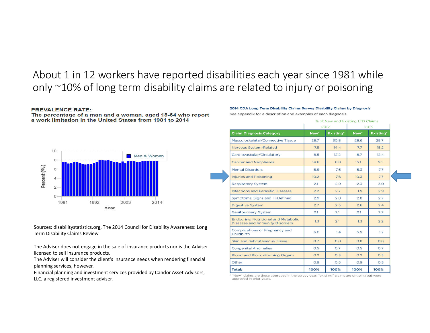### About 1 in 12 workers have reported disabilities each year since 1981 while only ~10% of long term disability claims are related to injury or poisoning

#### **PREVALENCE RATE:**

The percentage of a man and a woman, aged 18-64 who report a work limitation in the United States from 1981 to 2014



Sources: disabilitystatistics.org, The 2014 Council for Disability Awareness: Long Term Disability Claims Review

The Adviser does not engage in the sale of insurance products nor is the Adviser licensed to sell insurance products.

The Adviser will consider the client's insurance needs when rendering financial planning services, however.

Financial planning and investment services provided by Candor Asset Advisors, LLC, a registered investment adviser.

#### 2014 CDA Long Term Disability Claims Survey Disability Claims by Diagnosis

See appendix for a description and examples of each diagnosis.

|                                                                                | % of New and Existing LTD Claims |           |                  |                  |  |  |  |
|--------------------------------------------------------------------------------|----------------------------------|-----------|------------------|------------------|--|--|--|
|                                                                                |                                  | 2012      |                  | 2013             |  |  |  |
| <b>Claim Diagnosis Category</b>                                                | New <sup>*</sup>                 | Existing* | New <sup>*</sup> | <b>Existing*</b> |  |  |  |
| Musculoskeletal/Connective Tissue                                              | 28.7                             | 30.8      | 28.6             | 28.7             |  |  |  |
| Nervous System-Related                                                         | 7.5                              | 14.4      | 7.7              | 15.2             |  |  |  |
| Cardiovascular/Circulatory                                                     | 8.5                              | 12.2      | 8.7              | 12.4             |  |  |  |
| <b>Cancer and Neoplasms</b>                                                    | 14.6                             | 8.8       | 15.1             | 9.1              |  |  |  |
| <b>Mental Disorders</b>                                                        | 8.9                              | 7.6       | 8.3              | 7.7              |  |  |  |
| <b>Injuries and Poisoning</b>                                                  | 10.2                             | 7.6       | 10.3             | 7.7              |  |  |  |
| <b>Respiratory System</b>                                                      | 2.1                              | 2.9       | 2.3              | 3.0              |  |  |  |
| <b>Infections and Parasitic Diseases</b>                                       | 2.2                              | 2.7       | 1.9              | 2.9              |  |  |  |
| Symptoms, Signs and III-Defined                                                | 2.9                              | 2.8       | 2.8              | 2.7              |  |  |  |
| <b>Digestive System</b>                                                        | 2.7                              | 2.3       | 2.6              | 2.4              |  |  |  |
| <b>Genitourinary System</b>                                                    | 2.1                              | 2.1       | 2.1              | 2.2              |  |  |  |
| <b>Endocrine, Nutritional and Metabolic</b><br>Diseases and Immunity Disorders | 1.3                              | 2.1       | 1.3              | 2.2              |  |  |  |
| Complications of Pregnancy and<br>Childbirth                                   | 6.0                              | 1.4       | 5.9              | 1.7              |  |  |  |
| Skin and Subcutaneous Tissue                                                   | O.7                              | 0.8       | 0.8              | O.8              |  |  |  |
| <b>Congenital Anomalies</b>                                                    | O.5                              | O.7       | 0.5              | O.7              |  |  |  |
| <b>Blood and Blood-Forming Organs</b>                                          | O.2                              | 0.3       | O.2              | O.3              |  |  |  |
| Other                                                                          | 0.9                              | 0.5       | 0.9              | O.3              |  |  |  |
| <b>Total:</b>                                                                  | 100%                             | 100%      | 100%             | 100%             |  |  |  |

\* "New" claims are those approved in the survey year; "existing" claims are ongoing but were approved in prior years.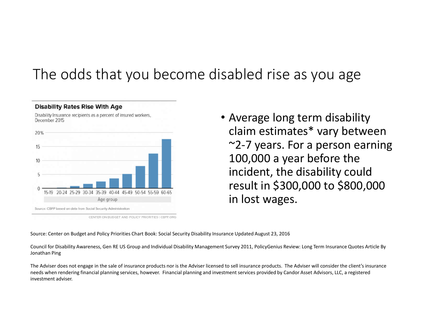## The odds that you become disabled rise as you age



**Disability Rates Rise With Age** 

CENTER ON BUDGET AND POLICY PRIORITIES I CBPP.ORG

• Average long term disability claim estimates\* vary between ~2-7 years. For a person earning 100,000 a year before the incident, the disability could result in \$300,000 to \$800,000 in lost wages.

Source: Center on Budget and Policy Priorities Chart Book: Social Security Disability Insurance Updated August 23, 2016

Council for Disability Awareness, Gen RE US Group and Individual Disability Management Survey 2011, PolicyGenius Review: Long Term Insurance Quotes Article By Jonathan Ping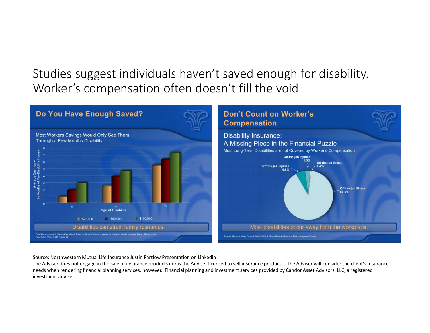## Studies suggest individuals haven't saved enough for disability. Worker's compensation often doesn't fill the void



Source: Northwestern Mutual Life Insurance Justin Partlow Presentation on Linkedin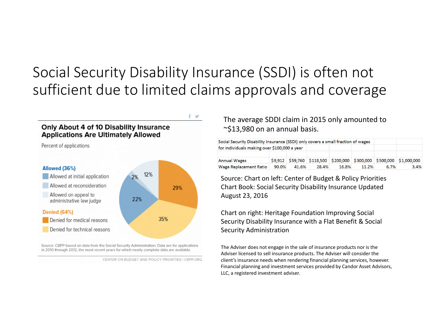## Social Security Disability Insurance (SSDI) is often not sufficient due to limited claims approvals and coverage

 $f \circ f$ 



Source: CBPP based on data from the Social Security Administration. Data are for applications in 2010 through 2012, the most recent years for which nearly complete data are available.

### The average SDDI claim in 2015 only amounted to ~\$13,980 on an annual basis.

| Social Security Disability Insurance (SSDI) only covers a small fraction of wages |       |       |       |       |       |      |                                                                      |
|-----------------------------------------------------------------------------------|-------|-------|-------|-------|-------|------|----------------------------------------------------------------------|
| for individuals making over \$100,000 a year                                      |       |       |       |       |       |      |                                                                      |
| <b>Annual Wages</b>                                                               |       |       |       |       |       |      | \$9,912 \$59,760 \$118,500 \$200,000 \$300,000 \$500,000 \$1,000,000 |
| <b>Wage Replacement Ratio</b>                                                     | 90.0% | 41.6% | 28.4% | 16.8% | 11.2% | 6.7% | 3.4%                                                                 |

Source: Chart on left: Center of Budget & Policy Priorities Chart Book: Social Security Disability Insurance Updated August 23, 2016

Chart on right: Heritage Foundation Improving Social Security Disability Insurance with a Flat Benefit & Social Security Administration

CENTER ON BUDGET AND POLICY PRIORITIES | CBPP.ORG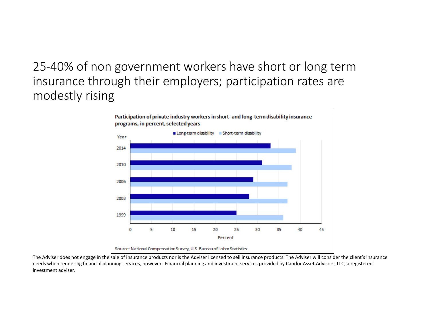## 25-40% of non government workers have short or long term insurance through their employers; participation rates are modestly rising